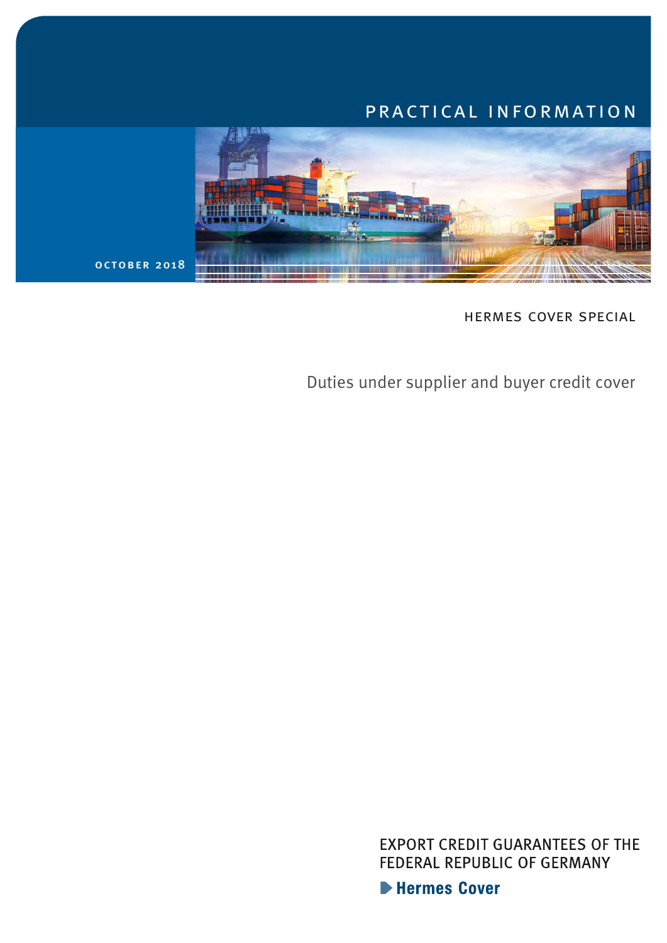# practical information



hermes cover special

Duties under supplier and buyer credit cover

**EXPORT CREDIT GUARANTEES OF THE** FEDERAL REPUBLIC OF GERMANY

**Extermes Cover**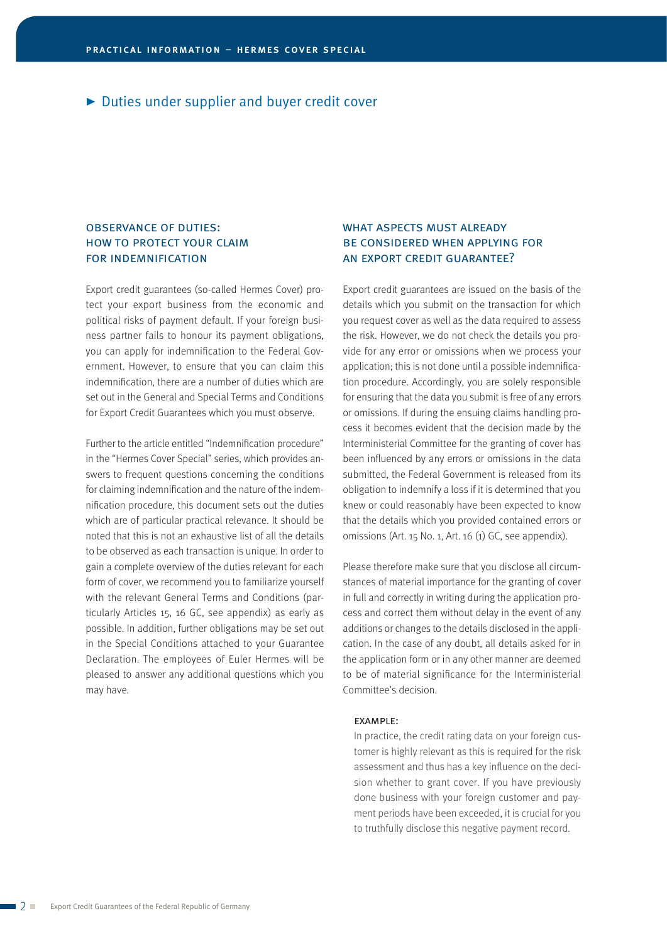# observance of duties: how to protect your claim for indemnification

Export credit guarantees (so-called Hermes Cover) protect your export business from the economic and political risks of payment default. If your foreign business partner fails to honour its payment obligations, you can apply for indemnification to the Federal Government. However, to ensure that you can claim this indemnification, there are a number of duties which are set out in the General and Special Terms and Conditions for Export Credit Guarantees which you must observe.

Further to the article entitled "Indemnification procedure" in the "Hermes Cover Special" series, which provides answers to frequent questions concerning the conditions for claiming indemnification and the nature of the indemnification procedure, this document sets out the duties which are of particular practical relevance. It should be noted that this is not an exhaustive list of all the details to be observed as each transaction is unique. In order to gain a complete overview of the duties relevant for each form of cover, we recommend you to familiarize yourself with the relevant General Terms and Conditions (particularly Articles 15, 16 GC, see appendix) as early as possible. In addition, further obligations may be set out in the Special Conditions attached to your Guarantee Declaration. The employees of Euler Hermes will be pleased to answer any additional questions which you may have.

# WHAT ASPECTS MUST ALREADY be considered when applying for an export credit guarantee?

Export credit guarantees are issued on the basis of the details which you submit on the transaction for which you request cover as well as the data required to assess the risk. However, we do not check the details you provide for any error or omissions when we process your application; this is not done until a possible indemnification procedure. Accordingly, you are solely responsible for ensuring that the data you submit is free of any errors or omissions. If during the ensuing claims handling process it becomes evident that the decision made by the Interministerial Committee for the granting of cover has been influenced by any errors or omissions in the data submitted, the Federal Government is released from its obligation to indemnify a loss if it is determined that you knew or could reasonably have been expected to know that the details which you provided contained errors or omissions (Art. 15 No. 1, Art. 16 (1) GC, see appendix).

Please therefore make sure that you disclose all circumstances of material importance for the granting of cover in full and correctly in writing during the application process and correct them without delay in the event of any additions or changes to the details disclosed in the application. In the case of any doubt, all details asked for in the application form or in any other manner are deemed to be of material significance for the Interministerial Committee's decision.

#### example:

In practice, the credit rating data on your foreign customer is highly relevant as this is required for the risk assessment and thus has a key influence on the decision whether to grant cover. If you have previously done business with your foreign customer and payment periods have been exceeded, it is crucial for you to truthfully disclose this negative payment record.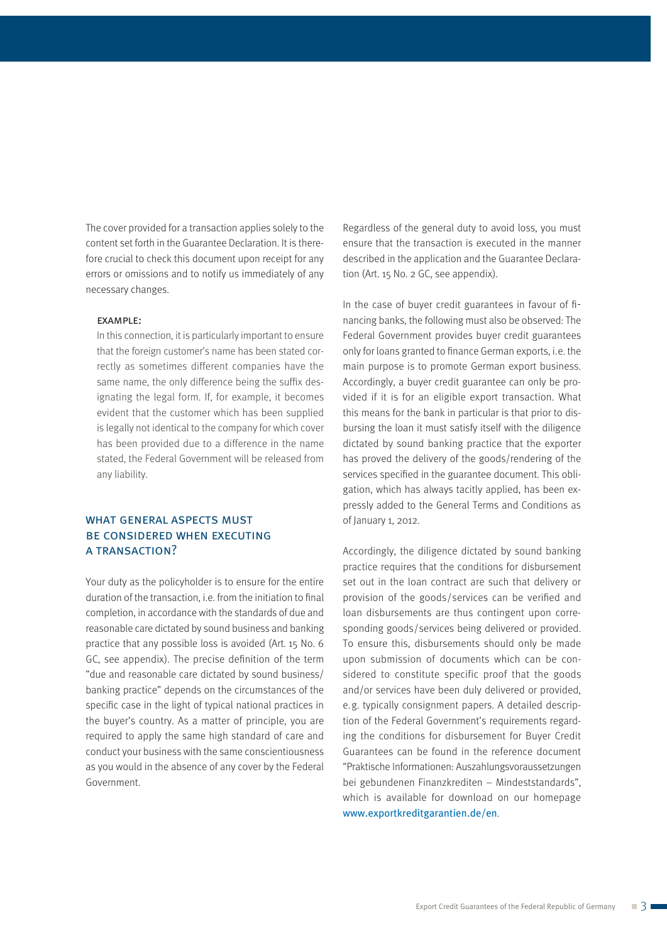The cover provided for a transaction applies solely to the content set forth in the Guarantee Declaration. It is therefore crucial to check this document upon receipt for any errors or omissions and to notify us immediately of any necessary changes.

#### example:

In this connection, it is particularly important to ensure that the foreign customer's name has been stated cor rectly as sometimes different companies have the same name, the only difference being the suffix designating the legal form. If, for example, it becomes evident that the customer which has been supplied is legally not identical to the company for which cover has been provided due to a difference in the name stated, the Federal Government will be released from any liability.

# WHAT GENERAL ASPECTS MUST be considered when executing a transaction?

Your duty as the policyholder is to ensure for the entire duration of the transaction, i.e. from the initiation to final completion, in accordance with the standards of due and reasonable care dictated by sound business and banking practice that any possible loss is avoided (Art. 15 No. 6 GC, see appendix). The precise definition of the term "due and reasonable care dictated by sound business/ banking practice" depends on the circumstances of the specific case in the light of typical national practices in the buyer's country. As a matter of principle, you are required to apply the same high standard of care and conduct your business with the same conscientiousness as you would in the absence of any cover by the Federal Government.

Regardless of the general duty to avoid loss, you must ensure that the transaction is executed in the manner described in the application and the Guarantee Declaration (Art. 15 No. 2 GC, see appendix).

In the case of buyer credit guarantees in favour of financing banks, the following must also be observed: The Federal Government provides buyer credit guarantees only for loans granted to finance German exports, i.e. the main purpose is to promote German export business. Accordingly, a buyer credit guarantee can only be provided if it is for an eligible export transaction. What this means for the bank in particular is that prior to disbursing the loan it must satisfy itself with the diligence dictated by sound banking practice that the exporter has proved the delivery of the goods/rendering of the services specified in the guarantee document. This obligation, which has always tacitly applied, has been expressly added to the General Terms and Conditions as of January 1, 2012.

Accordingly, the diligence dictated by sound banking practice requires that the conditions for disbursement set out in the loan contract are such that delivery or provision of the goods/services can be verified and loan disbursements are thus contingent upon corresponding goods/services being delivered or provided. To ensure this, disbursements should only be made upon submission of documents which can be considered to constitute specific proof that the goods and/or services have been duly delivered or provided, e.g. typically consignment papers. A detailed description of the Federal Government's requirements regarding the conditions for disbursement for Buyer Credit Guarantees can be found in the reference document "Praktische Informationen: Auszahlungsvoraussetzungen bei gebundenen Finanzkrediten – Mindeststandards", which is available for download on our homepage [www.exportkreditgarantien.de/en](https://www.agaportal.de/en).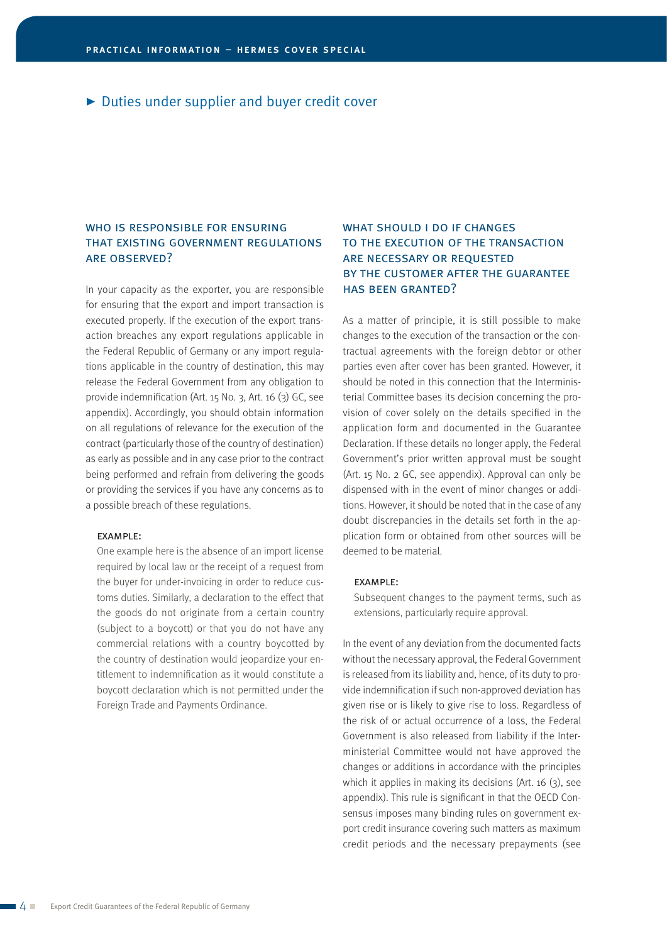# WHO IS RESPONSIBLE FOR ENSURING that existing government regulations are observed?

In your capacity as the exporter, you are responsible for ensuring that the export and import transaction is executed properly. If the execution of the export transaction breaches any export regulations applicable in the Federal Republic of Germany or any import regulations applicable in the country of destination, this may release the Federal Government from any obligation to provide indemnification (Art. 15 No. 3, Art. 16 (3) GC, see appendix). Accordingly, you should obtain information on all regulations of relevance for the execution of the contract (particularly those of the country of destination) as early as possible and in any case prior to the contract being performed and refrain from delivering the goods or providing the services if you have any concerns as to a possible breach of these regulations.

#### example:

One example here is the absence of an import license required by local law or the receipt of a request from the buyer for under-invoicing in order to reduce customs duties. Similarly, a declaration to the effect that the goods do not originate from a certain country (subject to a boycott) or that you do not have any commercial relations with a country boycotted by the country of destination would jeopardize your entitlement to indemnification as it would constitute a boycott declaration which is not permitted under the Foreign Trade and Payments Ordinance.

# WHAT SHOULD I DO IF CHANGES to the execution of the transaction are necessary or requested by the customer after the guarantee has been granted?

As a matter of principle, it is still possible to make changes to the execution of the transaction or the contractual agreements with the foreign debtor or other parties even after cover has been granted. However, it should be noted in this connection that the Interministerial Committee bases its decision concerning the provision of cover solely on the details specified in the application form and documented in the Guarantee Declaration. If these details no longer apply, the Federal Government's prior written approval must be sought (Art. 15 No. 2 GC, see appendix). Approval can only be dispensed with in the event of minor changes or additions. However, it should be noted that in the case of any doubt discrepancies in the details set forth in the application form or obtained from other sources will be deemed to be material.

## example:

Subsequent changes to the payment terms, such as extensions, particularly require approval.

In the event of any deviation from the documented facts without the necessary approval, the Federal Government is released from its liability and, hence, of its duty to provide indemnification if such non-approved deviation has given rise or is likely to give rise to loss. Regardless of the risk of or actual occurrence of a loss, the Federal Government is also released from liability if the Interministerial Committee would not have approved the changes or additions in accordance with the principles which it applies in making its decisions (Art. 16 (3), see appendix). This rule is significant in that the OECD Consensus imposes many binding rules on government export credit insurance covering such matters as maximum credit periods and the necessary prepayments (see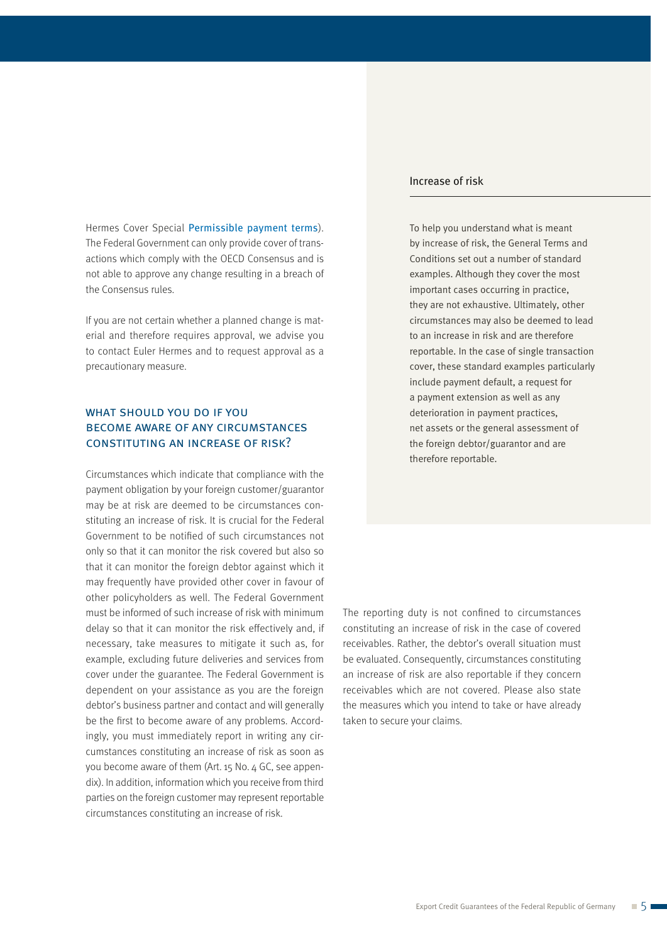Hermes Cover Special Permissible payment terms). The Federal Government can only provide cover of transactions which comply with the OECD Consensus and is not able to approve any change resulting in a breach of the Consensus rules.

If you are not certain whether a planned change is material and therefore requires approval, we advise you to contact Euler Hermes and to request approval as a precautionary measure.

# WHAT SHOULD YOU DO IF YOU become aware of any circumstances constituting an increase of risk?

Circumstances which indicate that compliance with the payment obligation by your foreign customer/guarantor may be at risk are deemed to be circumstances constituting an increase of risk. It is crucial for the Federal Government to be notified of such circumstances not only so that it can monitor the risk covered but also so that it can monitor the foreign debtor against which it may frequently have provided other cover in favour of other policyholders as well. The Federal Government must be informed of such increase of risk with minimum delay so that it can monitor the risk effectively and, if necessary, take measures to mitigate it such as, for example, excluding future deliveries and services from cover under the guarantee. The Federal Government is dependent on your assistance as you are the foreign debtor's business partner and contact and will generally be the first to become aware of any problems. Accordingly, you must immediately report in writing any circumstances constituting an increase of risk as soon as you become aware of them (Art. 15 No. 4 GC, see appendix). In addition, information which you receive from third parties on the foreign customer may represent reportable circumstances constituting an increase of risk.

## Increase of risk

To help you understand what is meant by increase of risk, the General Terms and Conditions set out a number of standard examples. Although they cover the most important cases occurring in practice, they are not exhaustive. Ultimately, other circumstances may also be deemed to lead to an increase in risk and are therefore reportable. In the case of single transaction cover, these standard examples particularly include payment default, a request for a payment extension as well as any deterioration in payment practices, net assets or the general assessment of the foreign debtor/guarantor and are therefore reportable.

The reporting duty is not confined to circumstances constituting an increase of risk in the case of covered receivables. Rather, the debtor's overall situation must be evaluated. Consequently, circumstances constituting an increase of risk are also reportable if they concern receivables which are not covered. Please also state the measures which you intend to take or have already taken to secure your claims.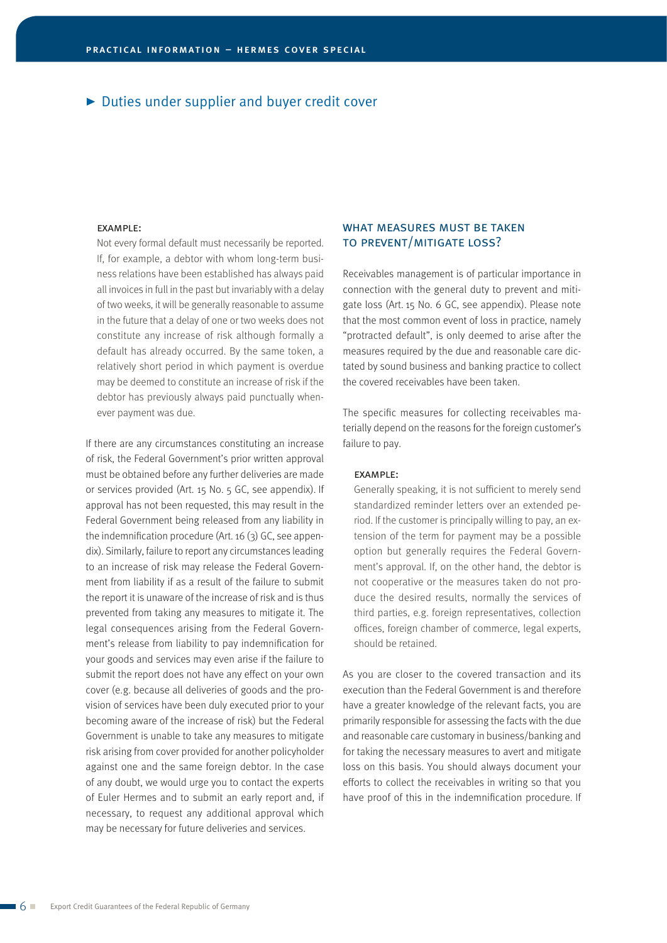### example:

Not every formal default must necessarily be reported. If, for example, a debtor with whom long-term business relations have been established has always paid all invoices in full in the past but invariably with a delay of two weeks, it will be generally reasonable to assume in the future that a delay of one or two weeks does not constitute any increase of risk although formally a default has already occurred. By the same token, a relatively short period in which payment is overdue may be deemed to constitute an increase of risk if the debtor has previously always paid punctually whenever payment was due.

If there are any circumstances constituting an increase of risk, the Federal Government's prior written approval must be obtained before any further deliveries are made or services provided (Art. 15 No. 5 GC, see appendix). If approval has not been requested, this may result in the Federal Government being released from any liability in the indemnification procedure (Art. 16 (3) GC, see appendix). Similarly, failure to report any circumstances leading to an increase of risk may release the Federal Government from liability if as a result of the failure to submit the report it is unaware of the increase of risk and is thus prevented from taking any measures to mitigate it. The legal consequences arising from the Federal Government's release from liability to pay indemnification for your goods and services may even arise if the failure to submit the report does not have any effect on your own cover (e.g. because all deliveries of goods and the provision of services have been duly executed prior to your becoming aware of the increase of risk) but the Federal Government is unable to take any measures to mitigate risk arising from cover provided for another policyholder against one and the same foreign debtor. In the case of any doubt, we would urge you to contact the experts of Euler Hermes and to submit an early report and, if necessary, to request any additional approval which may be necessary for future deliveries and services.

# WHAT MEASURES MUST BE TAKEN to prevent/mitigate loss?

Receivables management is of particular importance in connection with the general duty to prevent and mitigate loss (Art. 15 No. 6 GC, see appendix). Please note that the most common event of loss in practice, namely "protracted default", is only deemed to arise after the measures required by the due and reasonable care dictated by sound business and banking practice to collect the covered receivables have been taken.

The specific measures for collecting receivables materially depend on the reasons for the foreign customer's failure to pay.

#### example:

Generally speaking, it is not sufficient to merely send standardized reminder letters over an extended period. If the customer is principally willing to pay, an extension of the term for payment may be a possible option but generally requires the Federal Government's approval. If, on the other hand, the debtor is not cooperative or the measures taken do not produce the desired results, normally the services of third parties, e.g. foreign representatives, collection offices, foreign chamber of commerce, legal experts, should be retained.

As you are closer to the covered transaction and its execution than the Federal Government is and therefore have a greater knowledge of the relevant facts, you are primarily responsible for assessing the facts with the due and reasonable care customary in business/banking and for taking the necessary measures to avert and mitigate loss on this basis. You should always document your efforts to collect the receivables in writing so that you have proof of this in the indemnification procedure. If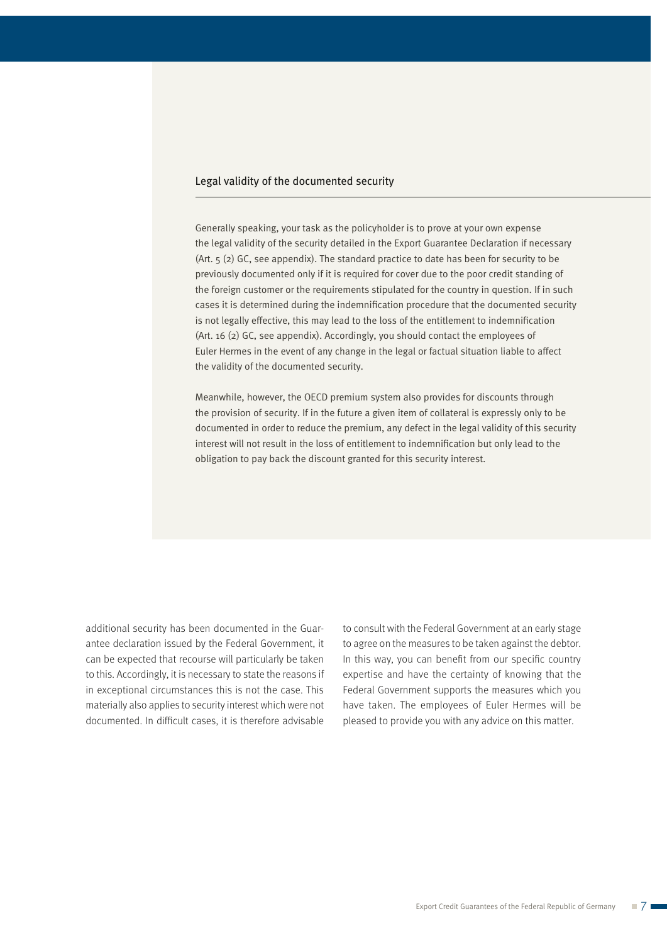## Legal validity of the documented security

Generally speaking, your task as the policyholder is to prove at your own expense the legal validity of the security detailed in the Export Guarantee Declaration if necessary (Art. 5 (2) GC, see appendix). The standard practice to date has been for security to be previously documented only if it is required for cover due to the poor credit standing of the foreign customer or the requirements stipulated for the country in question. If in such cases it is determined during the indemnification procedure that the documented security is not legally effective, this may lead to the loss of the entitlement to indemnification (Art. 16 (2) GC, see appendix). Accordingly, you should contact the employees of Euler Hermes in the event of any change in the legal or factual situation liable to affect the validity of the documented security.

Meanwhile, however, the OECD premium system also provides for discounts through the provision of security. If in the future a given item of collateral is expressly only to be documented in order to reduce the premium, any defect in the legal validity of this security interest will not result in the loss of entitlement to indemnification but only lead to the obligation to pay back the discount granted for this security interest.

additional security has been documented in the Guarantee declaration issued by the Federal Government, it can be expected that recourse will particularly be taken to this. Accordingly, it is necessary to state the reasons if in exceptional circumstances this is not the case. This materially also applies to security interest which were not documented. In difficult cases, it is therefore advisable to consult with the Federal Government at an early stage to agree on the measures to be taken against the debtor. In this way, you can benefit from our specific country expertise and have the certainty of knowing that the Federal Government supports the measures which you have taken. The employees of Euler Hermes will be pleased to provide you with any advice on this matter.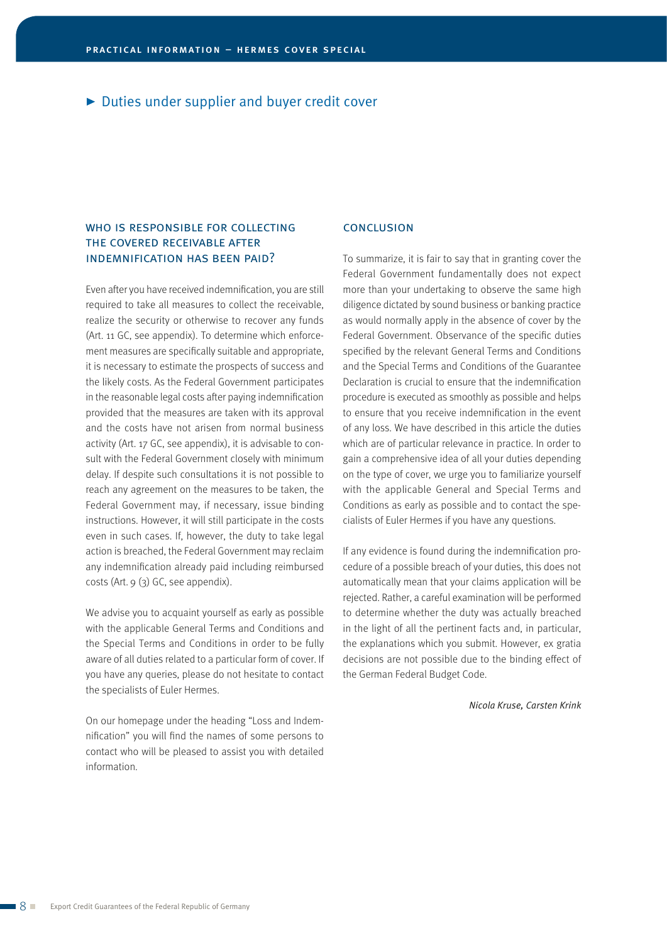# WHO IS RESPONSIBLE FOR COLLECTING the covered receivable after indemnification has been paid?

Even after you have received indemnification, you are still required to take all measures to collect the receivable, realize the security or otherwise to recover any funds (Art. 11 GC, see appendix). To determine which enforcement measures are specifically suitable and appropriate, it is necessary to estimate the prospects of success and the likely costs. As the Federal Government participates in the reasonable legal costs after paying indemnification provided that the measures are taken with its approval and the costs have not arisen from normal business activity (Art. 17 GC, see appendix), it is advisable to consult with the Federal Government closely with minimum delay. If despite such consultations it is not possible to reach any agreement on the measures to be taken, the Federal Government may, if necessary, issue binding instructions. However, it will still participate in the costs even in such cases. If, however, the duty to take legal action is breached, the Federal Government may reclaim any indemnification already paid including reimbursed costs (Art. 9 (3) GC, see appendix).

We advise you to acquaint yourself as early as possible with the applicable General Terms and Conditions and the Special Terms and Conditions in order to be fully aware of all duties related to a particular form of cover. If you have any queries, please do not hesitate to contact the specialists of Euler Hermes.

On our homepage under the heading "Loss and Indemnification" you will find the names of some persons to contact who will be pleased to assist you with detailed information.

## **CONCLUSION**

To summarize, it is fair to say that in granting cover the Federal Government fundamentally does not expect more than your undertaking to observe the same high diligence dictated by sound business or banking practice as would normally apply in the absence of cover by the Federal Government. Observance of the specific duties specified by the relevant General Terms and Conditions and the Special Terms and Conditions of the Guarantee Declaration is crucial to ensure that the indemnification procedure is executed as smoothly as possible and helps to ensure that you receive indemnification in the event of any loss. We have described in this article the duties which are of particular relevance in practice. In order to gain a comprehensive idea of all your duties depending on the type of cover, we urge you to familiarize yourself with the applicable General and Special Terms and Conditions as early as possible and to contact the specialists of Euler Hermes if you have any questions.

If any evidence is found during the indemnification procedure of a possible breach of your duties, this does not automatically mean that your claims application will be rejected. Rather, a careful examination will be performed to determine whether the duty was actually breached in the light of all the pertinent facts and, in particular, the explanations which you submit. However, ex gratia decisions are not possible due to the binding effect of the German Federal Budget Code.

*Nicola Kruse, Carsten Krink*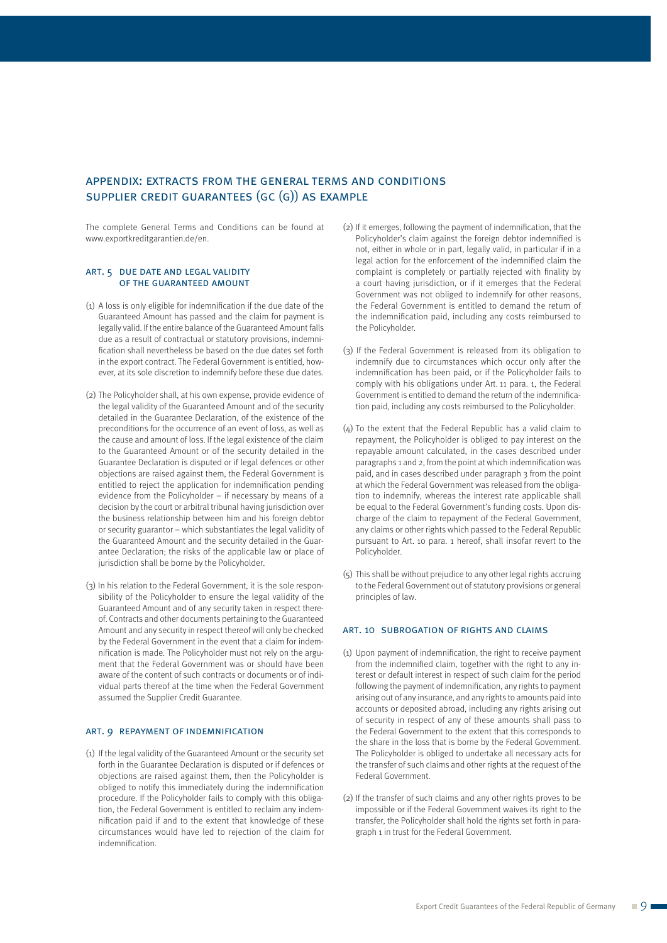## appendix: extracts from the general terms and conditions supplier credit guarantees (gc (g)) as example

The complete General Terms and Conditions can be found at [www.exportkreditgarantien.de/en.](https://www.agaportal.de/en)

#### art. 5 due date and legal validity of the guaranteed amount

- (1) A loss is only eligible for indemnification if the due date of the Guaranteed Amount has passed and the claim for payment is legally valid. If the entire balance of the Guaranteed Amount falls due as a result of contractual or statutory provisions, indemnification shall nevertheless be based on the due dates set forth in the export contract. The Federal Government is entitled, however, at its sole discretion to indemnify before these due dates.
- (2) The Policyholder shall, at his own expense, provide evidence of the legal validity of the Guaranteed Amount and of the security detailed in the Guarantee Declaration, of the existence of the preconditions for the occurrence of an event of loss, as well as the cause and amount of loss. If the legal existence of the claim to the Guaranteed Amount or of the security detailed in the Guarantee Declaration is disputed or if legal defences or other objections are raised against them, the Federal Government is entitled to reject the application for indemnification pending evidence from the Policyholder – if necessary by means of a decision by the court or arbitral tribunal having jurisdiction over the business relationship between him and his foreign debtor or security guarantor – which substantiates the legal validity of the Guaranteed Amount and the security detailed in the Guarantee Declaration; the risks of the applicable law or place of jurisdiction shall be borne by the Policyholder.
- (3) In his relation to the Federal Government, it is the sole responsibility of the Policyholder to ensure the legal validity of the Guaranteed Amount and of any security taken in respect thereof. Contracts and other documents pertaining to the Guaranteed Amount and any security in respect thereof will only be checked by the Federal Government in the event that a claim for indemnification is made. The Policyholder must not rely on the argument that the Federal Government was or should have been aware of the content of such contracts or documents or of individual parts thereof at the time when the Federal Government assumed the Supplier Credit Guarantee.

#### art. 9 repayment of indemnification

(1) If the legal validity of the Guaranteed Amount or the security set forth in the Guarantee Declaration is disputed or if defences or objections are raised against them, then the Policyholder is obliged to notify this immediately during the indemnification procedure. If the Policyholder fails to comply with this obligation, the Federal Government is entitled to reclaim any indemnification paid if and to the extent that knowledge of these circumstances would have led to rejection of the claim for indemnification.

- (2) If it emerges, following the payment of indemnification, that the Policyholder's claim against the foreign debtor indemnified is not, either in whole or in part, legally valid, in particular if in a legal action for the enforcement of the indemnified claim the complaint is completely or partially rejected with finality by a court having jurisdiction, or if it emerges that the Federal Government was not obliged to indemnify for other reasons, the Federal Government is entitled to demand the return of the indemnification paid, including any costs reimbursed to the Policyholder.
- (3) If the Federal Government is released from its obligation to indemnify due to circumstances which occur only after the indemnification has been paid, or if the Policyholder fails to comply with his obligations under Art. 11 para. 1, the Federal Government is entitled to demand the return of the indemnification paid, including any costs reimbursed to the Policyholder.
- (4) To the extent that the Federal Republic has a valid claim to repayment, the Policyholder is obliged to pay interest on the repayable amount calculated, in the cases described under paragraphs 1 and 2, from the point at which indemnification was paid, and in cases described under paragraph 3 from the point at which the Federal Government was released from the obligation to indemnify, whereas the interest rate applicable shall be equal to the Federal Government's funding costs. Upon discharge of the claim to repayment of the Federal Government, any claims or other rights which passed to the Federal Republic pursuant to Art. 10 para. 1 hereof, shall insofar revert to the Policyholder.
- (5) This shall be without prejudice to any other legal rights accruing to the Federal Government out of statutory provisions or general principles of law.

### ART. 10 SUBROGATION OF RIGHTS AND CLAIMS

- (1) Upon payment of indemnification, the right to receive payment from the indemnified claim, together with the right to any interest or default interest in respect of such claim for the period following the payment of indemnification, any rights to payment arising out of any insurance, and any rights to amounts paid into accounts or deposited abroad, including any rights arising out of security in respect of any of these amounts shall pass to the Federal Government to the extent that this corresponds to the share in the loss that is borne by the Federal Government. The Policyholder is obliged to undertake all necessary acts for the transfer of such claims and other rights at the request of the Federal Government.
- (2) If the transfer of such claims and any other rights proves to be impossible or if the Federal Government waives its right to the transfer, the Policyholder shall hold the rights set forth in paragraph 1 in trust for the Federal Government.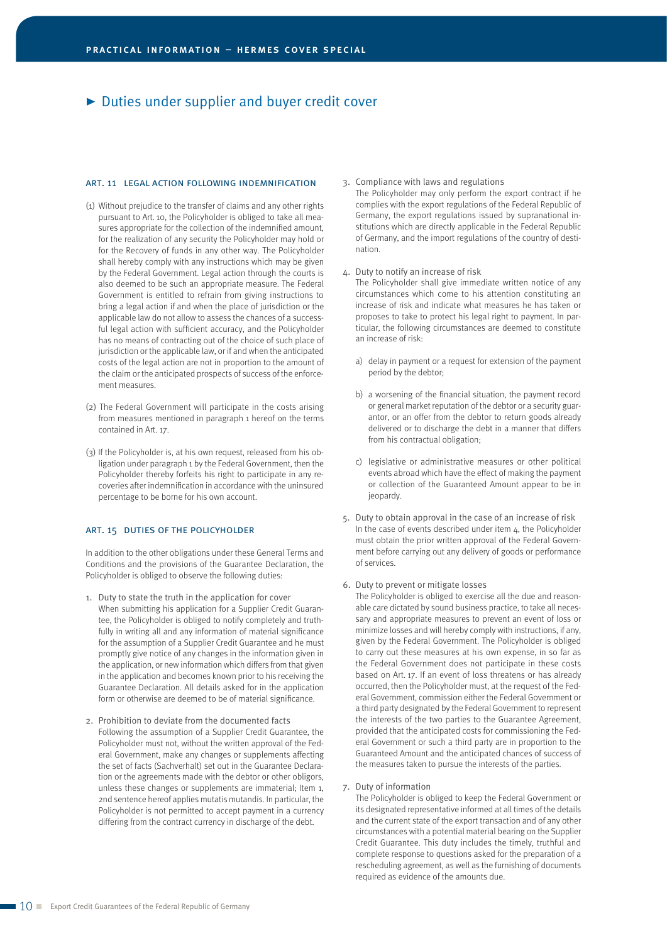#### art. 11 legal action following indemnification

- (1) Without prejudice to the transfer of claims and any other rights pursuant to Art. 10, the Policyholder is obliged to take all measures appropriate for the collection of the indemnified amount, for the realization of any security the Policyholder may hold or for the Recovery of funds in any other way. The Policyholder shall hereby comply with any instructions which may be given by the Federal Government. Legal action through the courts is also deemed to be such an appropriate measure. The Federal Government is entitled to refrain from giving instructions to bring a legal action if and when the place of jurisdiction or the applicable law do not allow to assess the chances of a successful legal action with sufficient accuracy, and the Policyholder has no means of contracting out of the choice of such place of jurisdiction or the applicable law, or if and when the anticipated costs of the legal action are not in proportion to the amount of the claim or the anticipated prospects of success of the enforcement measures.
- (2) The Federal Government will participate in the costs arising from measures mentioned in paragraph 1 hereof on the terms contained in Art. 17.
- (3) If the Policyholder is, at his own request, released from his obligation under paragraph 1 by the Federal Government, then the Policyholder thereby forfeits his right to participate in any recoveries after indemnification in accordance with the uninsured percentage to be borne for his own account.

#### art. 15 duties of the policyholder

In addition to the other obligations under these General Terms and Conditions and the provisions of the Guarantee Declaration, the Policyholder is obliged to observe the following duties:

- 1. Duty to state the truth in the application for cover When submitting his application for a Supplier Credit Guarantee, the Policyholder is obliged to notify completely and truthfully in writing all and any information of material significance for the assumption of a Supplier Credit Guarantee and he must promptly give notice of any changes in the information given in the application, or new information which differs from that given in the application and becomes known prior to his receiving the Guarantee Declaration. All details asked for in the application form or otherwise are deemed to be of material significance.
- 2. Prohibition to deviate from the documented facts Following the assumption of a Supplier Credit Guarantee, the Policyholder must not, without the written approval of the Federal Government, make any changes or supplements affecting the set of facts (Sachverhalt) set out in the Guarantee Declaration or the agreements made with the debtor or other obligors, unless these changes or supplements are immaterial; Item 1, 2nd sentence hereof applies mutatis mutandis. In particular, the Policyholder is not permitted to accept payment in a currency differing from the contract currency in discharge of the debt.

#### 3. Compliance with laws and regulations

The Policyholder may only perform the export contract if he complies with the export regulations of the Federal Republic of Germany, the export regulations issued by supranational in stitutions which are directly applicable in the Federal Republic of Germany, and the import regulations of the country of destination.

4. Duty to notify an increase of risk

The Policyholder shall give immediate written notice of any circumstances which come to his attention constituting an increase of risk and indicate what measures he has taken or proposes to take to protect his legal right to payment. In particular, the following circumstances are deemed to constitute an increase of risk:

- a) delay in payment or a request for extension of the payment period by the debtor;
- b) a worsening of the financial situation, the payment record or general market reputation of the debtor or a security guarantor, or an offer from the debtor to return goods already delivered or to discharge the debt in a manner that differs from his contractual obligation;
- c) legislative or administrative measures or other political events abroad which have the effect of making the payment or collection of the Guaranteed Amount appear to be in jeopardy.
- 5. Duty to obtain approval in the case of an increase of risk In the case of events described under item 4, the Policyholder must obtain the prior written approval of the Federal Government before carrying out any delivery of goods or performance of services.
- 6. Duty to prevent or mitigate losses

The Policyholder is obliged to exercise all the due and reasonable care dictated by sound business practice, to take all necessary and appropriate measures to prevent an event of loss or minimize losses and will hereby comply with instructions, if any, given by the Federal Government. The Policyholder is obliged to carry out these measures at his own expense, in so far as the Federal Government does not participate in these costs based on Art. 17. If an event of loss threatens or has already occurred, then the Policyholder must, at the request of the Federal Government, commission either the Federal Government or a third party designated by the Federal Government to represent the interests of the two parties to the Guarantee Agreement, provided that the anticipated costs for commissioning the Federal Government or such a third party are in proportion to the Guaranteed Amount and the anticipated chances of success of the measures taken to pursue the interests of the parties.

#### 7. Duty of information

The Policyholder is obliged to keep the Federal Government or its designated representative informed at all times of the details and the current state of the export transaction and of any other circumstances with a potential material bearing on the Supplier Credit Guarantee. This duty includes the timely, truthful and complete response to questions asked for the preparation of a rescheduling agreement, as well as the furnishing of documents required as evidence of the amounts due.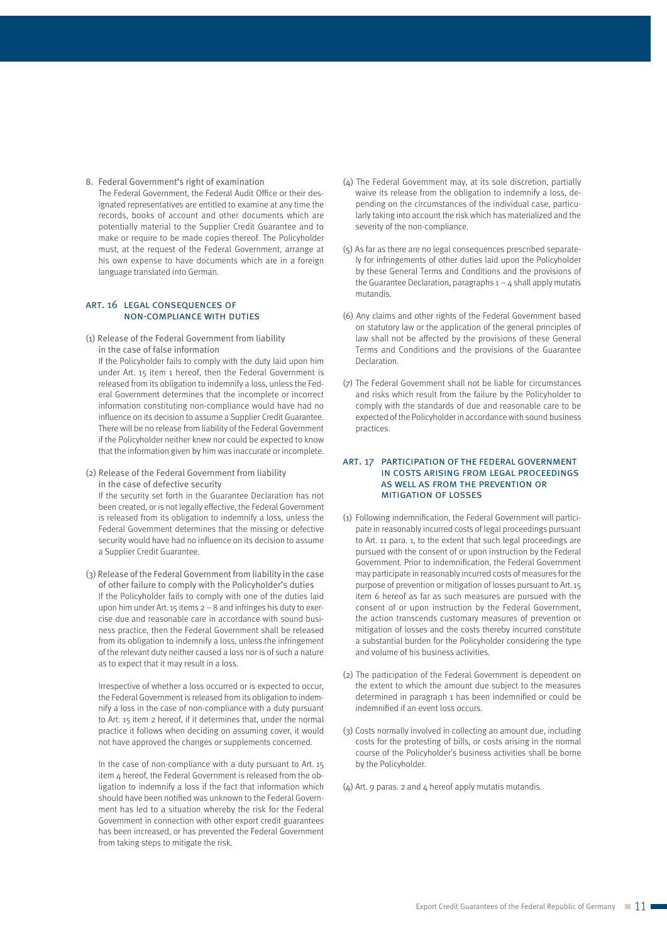8. Federal Government's right of examination

The Federal Government, the Federal Audit Office or their designated representatives are entitled to examine at any time the records, books of account and other documents which are potentially material to the Supplier Credit Guarantee and to make or require to be made copies thereof. The Policyholder must, at the request of the Federal Government, arrange at his own expense to have documents which are in a foreign language translated into German.

#### art. 16 legal consequences of non-compliance with duties

(1) Release of the Federal Government from liability in the case of false information

If the Policyholder fails to comply with the duty laid upon him under Art. 15 item 1 hereof, then the Federal Government is released from its obligation to indemnify a loss, unless the Federal Government determines that the incomplete or incorrect information constituting non-compliance would have had no influence on its decision to assume a Supplier Credit Guarantee. There will be no release from liability of the Federal Government if the Policyholder neither knew nor could be expected to know that the information given by him was inaccurate or incomplete.

(2) Release of the Federal Government from liability in the case of defective security

If the security set forth in the Guarantee Declaration has not been created, or is not legally effective, the Federal Government is released from its obligation to indemnify a loss, unless the Federal Government determines that the missing or defective security would have had no influence on its decision to assume a Supplier Credit Guarantee.

(3) Release of the Federal Government from liability in the case of other failure to comply with the Policyholder's duties If the Policyholder fails to comply with one of the duties laid upon him under Art. 15 items  $2 - 8$  and infringes his duty to exercise due and reasonable care in accordance with sound business practice, then the Federal Government shall be released from its obligation to indemnify a loss, unless the infringement of the relevant duty neither caused a loss nor is of such a nature as to expect that it may result in a loss.

Irrespective of whether a loss occurred or is expected to occur, the Federal Government is released from its obligation to indemnify a loss in the case of non-compliance with a duty pursuant to Art. 15 item 2 hereof, if it determines that, under the normal practice it follows when deciding on assuming cover, it would not have approved the changes or supplements concerned.

In the case of non-compliance with a duty pursuant to Art. 15 item 4 hereof, the Federal Government is released from the obligation to indemnify a loss if the fact that information which should have been notified was unknown to the Federal Government has led to a situation whereby the risk for the Federal Government in connection with other export credit guarantees has been increased, or has prevented the Federal Government from taking steps to mitigate the risk.

- (4) The Federal Government may, at its sole discretion, partially waive its release from the obligation to indemnify a loss, depending on the circumstances of the individual case, particularly taking into account the risk which has materialized and the severity of the non-compliance.
- (5) As far as there are no legal consequences prescribed separately for infringements of other duties laid upon the Policyholder by these General Terms and Conditions and the provisions of the Guarantee Declaration, paragraphs  $1 - 4$  shall apply mutatis mutandis.
- (6) Any claims and other rights of the Federal Government based on statutory law or the application of the general principles of law shall not be affected by the provisions of these General Terms and Conditions and the provisions of the Guarantee Declaration.
- (7) The Federal Government shall not be liable for circumstances and risks which result from the failure by the Policyholder to comply with the standards of due and reasonable care to be expected of the Policyholder in accordance with sound business practices.

#### art. 17 participation of the federal government in costs arising from legal proceedings as well as from the prevention or mitigation of losses

- (1) Following indemnification, the Federal Government will participate in reasonably incurred costs of legal proceedings pursuant to Art. 11 para. 1, to the extent that such legal proceedings are pursued with the consent of or upon instruction by the Federal Government. Prior to indemnification, the Federal Government may participate in reasonably incurred costs of measures for the purpose of prevention or mitigation of losses pursuant to Art.15 item 6 hereof as far as such measures are pursued with the consent of or upon instruction by the Federal Government, the action transcends customary measures of prevention or mitigation of losses and the costs thereby incurred constitute a substantial burden for the Policyholder considering the type and volume of his business activities.
- (2) The participation of the Federal Government is dependent on the extent to which the amount due subject to the measures determined in paragraph 1 has been indemnified or could be indemnified if an event loss occurs.
- (3) Costs normally involved in collecting an amount due, including costs for the protesting of bills, or costs arising in the normal course of the Policyholder's business activities shall be borne by the Policyholder.
- (4) Art. 9 paras. 2 and 4 hereof apply mutatis mutandis.